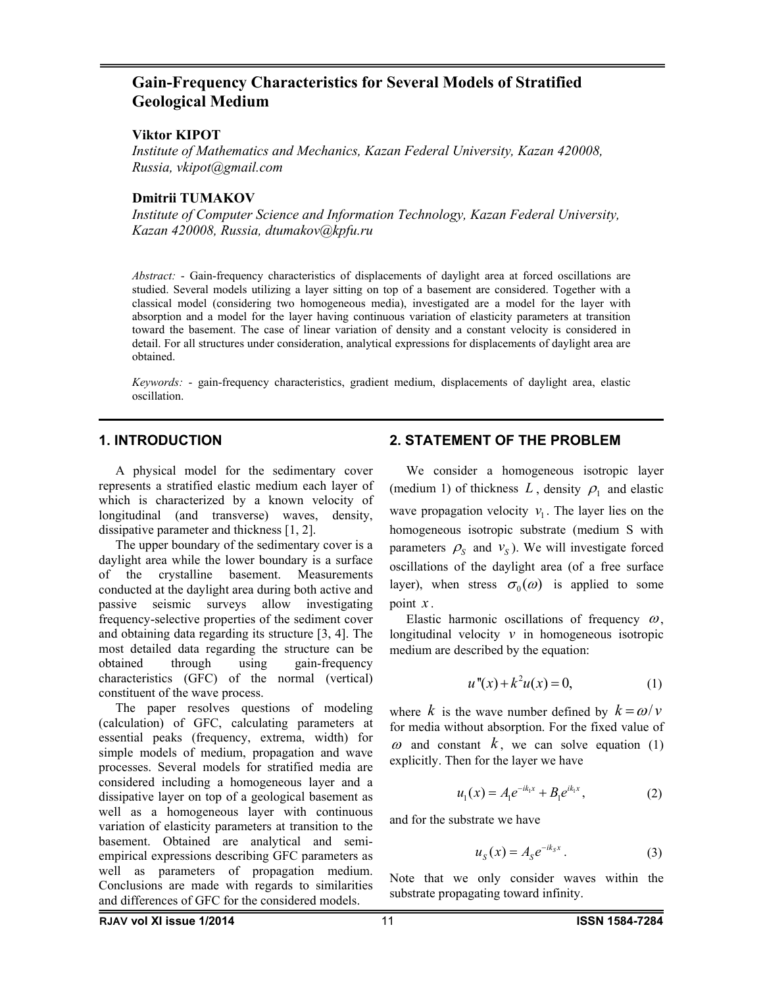# **Gain-Frequency Characteristics for Several Models of Stratified Geological Medium**

#### **Viktor KIPOT**

*Institute of Mathematics and Mechanics, Kazan Federal University, Kazan 420008, Russia, vkipot@gmail.com*

#### **Dmitrii TUMAKOV**

*Institute of Computer Science and Information Technology, Kazan Federal University, Kazan 420008, Russia, dtumakov@kpfu.ru*

*Abstract:* - Gain-frequency characteristics of displacements of daylight area at forced oscillations are studied. Several models utilizing a layer sitting on top of a basement are considered. Together with a classical model (considering two homogeneous media), investigated are a model for the layer with absorption and a model for the layer having continuous variation of elasticity parameters at transition toward the basement. The case of linear variation of density and a constant velocity is considered in detail. For all structures under consideration, analytical expressions for displacements of daylight area are obtained.

*Keywords:* - gain-frequency characteristics, gradient medium, displacements of daylight area, elastic oscillation.

#### **1. INTRODUCTION**

A physical model for the sedimentary cover represents a stratified elastic medium each layer of which is characterized by a known velocity of longitudinal (and transverse) waves, density, dissipative parameter and thickness [1, 2].

The upper boundary of the sedimentary cover is a daylight area while the lower boundary is a surface of the crystalline basement. Measurements conducted at the daylight area during both active and passive seismic surveys allow investigating frequency-selective properties of the sediment cover and obtaining data regarding its structure [3, 4]. The most detailed data regarding the structure can be obtained through using gain-frequency characteristics (GFC) of the normal (vertical) constituent of the wave process.

The paper resolves questions of modeling (calculation) of GFC, calculating parameters at essential peaks (frequency, extrema, width) for simple models of medium, propagation and wave processes. Several models for stratified media are considered including a homogeneous layer and a dissipative layer on top of a geological basement as well as a homogeneous layer with continuous variation of elasticity parameters at transition to the basement. Obtained are analytical and semiempirical expressions describing GFC parameters as well as parameters of propagation medium. Conclusions are made with regards to similarities and differences of GFC for the considered models.

#### **2. STATEMENT OF THE PROBLEM**

We consider a homogeneous isotropic layer (medium 1) of thickness  $L$ , density  $\rho_1$  and elastic wave propagation velocity  $v_1$ . The layer lies on the homogeneous isotropic substrate (medium S with parameters  $\rho_s$  and  $v_s$ ). We will investigate forced oscillations of the daylight area (of a free surface layer), when stress  $\sigma_0(\omega)$  is applied to some point *x* .

Elastic harmonic oscillations of frequency  $\omega$ , longitudinal velocity *v* in homogeneous isotropic medium are described by the equation:

$$
u''(x) + k^2 u(x) = 0,
$$
 (1)

where *k* is the wave number defined by  $k = \omega/v$ for media without absorption. For the fixed value of  $\omega$  and constant  $k$ , we can solve equation (1) explicitly. Then for the layer we have

$$
u_1(x) = A_1 e^{-ik_1 x} + B_1 e^{ik_1 x}, \tag{2}
$$

and for the substrate we have\n
$$
\frac{1}{2} \left( \frac{1}{2} \right)^2
$$

 $u_s(x) = A_s e^{-ik_s x}$ . (3)

Note that we only consider waves within the substrate propagating toward infinity.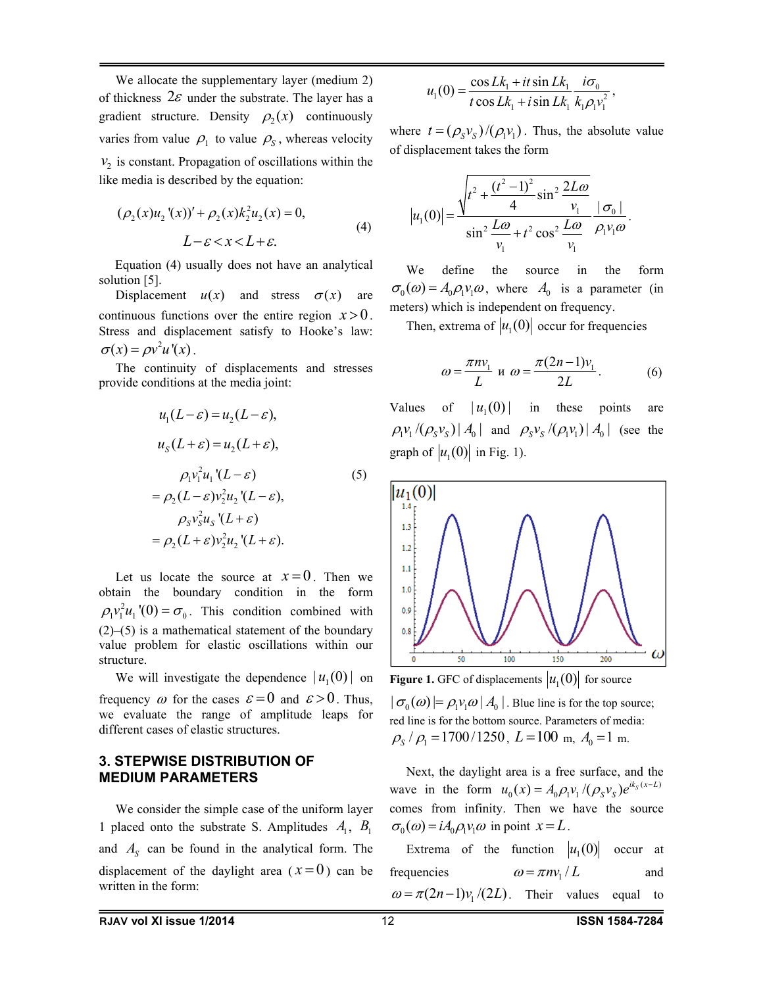We allocate the supplementary layer (medium 2) of thickness  $2\varepsilon$  under the substrate. The layer has a gradient structure. Density  $\rho_2(x)$  continuously varies from value  $\rho_1$  to value  $\rho_s$ , whereas velocity  $v<sub>2</sub>$  is constant. Propagation of oscillations within the like media is described by the equation:

$$
(\rho_2(x)u_2'(x))' + \rho_2(x)k_2^2u_2(x) = 0,
$$
  
\n
$$
L - \varepsilon < x < L + \varepsilon.
$$
 (4)

 Equation (4) usually does not have an analytical solution [5].

Displacement  $u(x)$  and stress  $\sigma(x)$  are continuous functions over the entire region  $x > 0$ . Stress and displacement satisfy to Hooke's law:  $\sigma(x) = \rho v^2 u'(x)$ .

The continuity of displacements and stresses provide conditions at the media joint:

$$
u_1(L-\varepsilon) = u_2(L-\varepsilon),
$$
  
\n
$$
u_s(L+\varepsilon) = u_2(L+\varepsilon),
$$
  
\n
$$
\rho_1 v_1^2 u_1'(L-\varepsilon)
$$
  
\n
$$
= \rho_2(L-\varepsilon) v_2^2 u_2'(L-\varepsilon),
$$
  
\n
$$
\rho_s v_s^2 u_s'(L+\varepsilon)
$$
  
\n
$$
= \rho_2(L+\varepsilon) v_2^2 u_2'(L+\varepsilon).
$$
 (5)

Let us locate the source at  $x=0$ . Then we obtain the boundary condition in the form  $\rho_1 v_1^2 u_1'(0) = \sigma_0$ . This condition combined with  $(2)$ –(5) is a mathematical statement of the boundary value problem for elastic oscillations within our structure.

We will investigate the dependence  $| u_1 (0) |$  on frequency  $\omega$  for the cases  $\varepsilon = 0$  and  $\varepsilon > 0$ . Thus, we evaluate the range of amplitude leaps for different cases of elastic structures.

### **3. STEPWISE DISTRIBUTION OF MEDIUM PARAMETERS**

We consider the simple case of the uniform layer 1 placed onto the substrate S. Amplitudes  $A_1$ ,  $B_1$ and  $A_s$  can be found in the analytical form. The displacement of the daylight area  $(x=0)$  can be written in the form:

$$
u_1(0) = \frac{\cos Lk_1 + it \sin Lk_1}{t \cos Lk_1 + i \sin Lk_1} \frac{i\sigma_0}{k_1 \rho_1 v_1^2},
$$

where  $t = (\rho_s v_s) / (\rho_l v_l)$ . Thus, the absolute value of displacement takes the form

$$
|u_1(0)| = \frac{\sqrt{t^2 + \frac{(t^2 - 1)^2}{4} \sin^2 \frac{2L\omega}{v_1}}}{\sin^2 \frac{L\omega}{v_1} + t^2 \cos^2 \frac{L\omega}{v_1}} \frac{|\sigma_0|}{\rho_1 v_1 \omega}.
$$

We define the source in the form  $\sigma_0(\omega) = A_0 \rho_1 v_1 \omega$ , where  $A_0$  is a parameter (in meters) which is independent on frequency.

Then, extrema of  $|u_1(0)|$  occur for frequencies

$$
\omega = \frac{\pi n v_1}{L} \text{ u } \omega = \frac{\pi (2n - 1) v_1}{2L}.
$$
 (6)

Values of  $| u_1 (0) |$  in these points are  $\rho_1 v_1 /(\rho_s v_s) |A_0|$  and  $\rho_s v_s /(\rho_i v_1) |A_0|$  (see the graph of  $|u_1(0)|$  in Fig. 1).



 $\sigma_0(\omega)$   $= \rho_1 v_1 \omega \, | \, A_0 |$ . Blue line is for the top source; red line is for the bottom source. Parameters of media:  $\rho_s / \rho_1 = 1700/1250$ ,  $L = 100$  m,  $A_0 = 1$  m.

Next, the daylight area is a free surface, and the wave in the form  $u_0(x) = A_0 \rho_1 v_1 /(\rho_s v_s) e^{ik_s(x-L)}$ comes from infinity. Then we have the source  $\sigma_0(\omega) = i A_0 \rho_1 v_1 \omega$  in point  $x = L$ .

Extrema of the function  $|u_1(0)|$  occur at frequencies  $\omega = \pi n v_1 / L$  and  $\omega = \pi(2n-1)v_1/(2L)$ . Their values equal to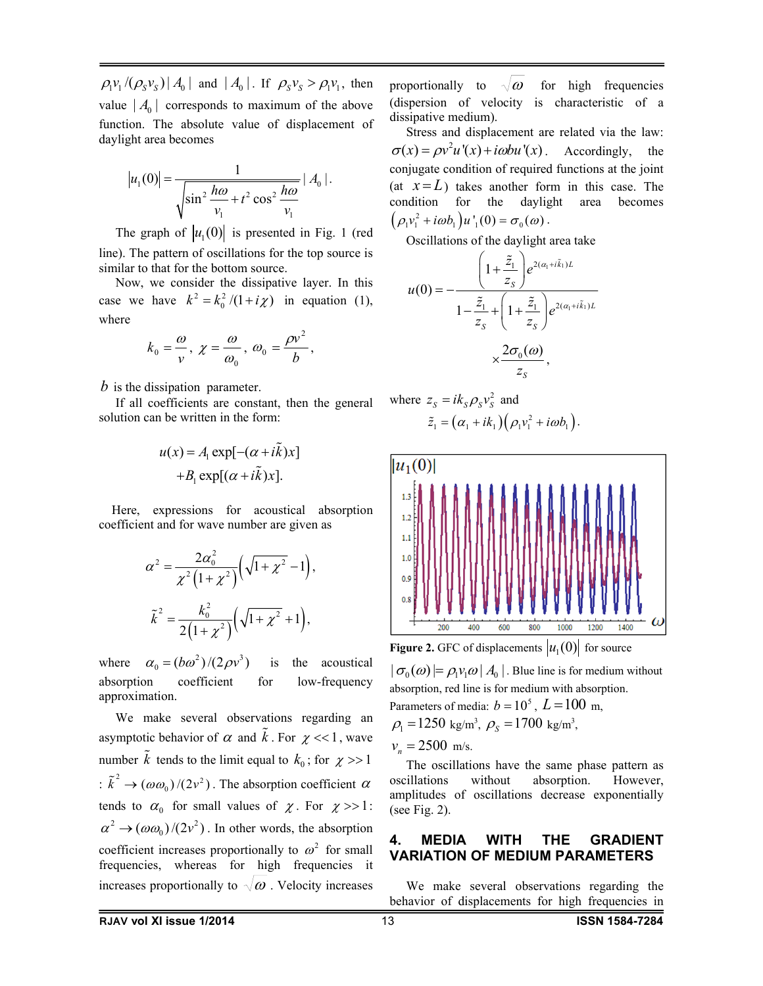$\left[\rho_1 v_1 / (\rho_s v_s)\right] A_0$  and  $\left[A_0\right]$ . If  $\rho_s v_s > \rho_1 v_1$ , then value  $|A_0|$  corresponds to maximum of the above function. The absolute value of displacement of daylight area becomes

$$
|u_1(0)| = \frac{1}{\sqrt{\sin^2 \frac{h\omega}{v_1} + t^2 \cos^2 \frac{h\omega}{v_1}}}
$$
 | A<sub>0</sub> |.

The graph of  $|u_1(0)|$  is presented in Fig. 1 (red line). The pattern of oscillations for the top source is similar to that for the bottom source.

Now, we consider the dissipative layer. In this case we have  $k^2 = k_0^2/(1 + i\chi)$  in equation (1), where

$$
k_0 = \frac{\omega}{v}, \ \chi = \frac{\omega}{\omega_0}, \ \omega_0 = \frac{\rho v^2}{b},
$$

*b* is the dissipation parameter.

If all coefficients are constant, then the general solution can be written in the form:

$$
u(x) = A_1 \exp[-(\alpha + i\tilde{k})x] + B_1 \exp[(\alpha + i\tilde{k})x].
$$

 Here, expressions for acoustical absorption coefficient and for wave number are given as

$$
\alpha^{2} = \frac{2\alpha_{0}^{2}}{\chi^{2}(1+\chi^{2})}\left(\sqrt{1+\chi^{2}}-1\right),
$$

$$
\tilde{k}^{2} = \frac{k_{0}^{2}}{2(1+\chi^{2})}\left(\sqrt{1+\chi^{2}}+1\right),
$$

where  $\alpha_0 = (b\omega^2)/(2\rho v^3)$  is the acoustical absorption coefficient for low-frequency approximation.

We make several observations regarding an asymptotic behavior of  $\alpha$  and  $\tilde{k}$ . For  $\chi$  <<1, wave number  $\tilde{k}$  tends to the limit equal to  $k_0$ ; for  $\chi \gg 1$ :  $\tilde{k}^2 \rightarrow (\omega \omega_0)/(2v^2)$ . The absorption coefficient  $\alpha$ tends to  $\alpha_0$  for small values of  $\chi$ . For  $\chi >> 1$ :  $\alpha^2 \rightarrow (\omega \omega_0)/(2v^2)$ . In other words, the absorption coefficient increases proportionally to  $\omega^2$  for small frequencies, whereas for high frequencies increases proportionally to  $\sqrt{\omega}$ . Velocity increases

proportionally to  $\sqrt{\omega}$  for high frequencies (dispersion of velocity is characteristic of a dissipative medium).

Stress and displacement are related via the law:  $\sigma(x) = \rho v^2 u'(x) + i\omega b u'(x)$ . Accordingly, the conjugate condition of required functions at the joint (at  $x = L$ ) takes another form in this case. The condition for the daylight area becomes  $(\rho_1 v_1^2 + i\omega b_1) u'_1(0) = \sigma_0(\omega)$ .

Oscillations of the daylight area take

$$
u(0) = -\frac{\left(1 + \frac{\tilde{z}_1}{z_s}\right)e^{2(\alpha_1 + i\tilde{k}_1)L}}{1 - \frac{\tilde{z}_1}{z_s} + \left(1 + \frac{\tilde{z}_1}{z_s}\right)e^{2(\alpha_1 + i\tilde{k}_1)L}}
$$

$$
\times \frac{2\sigma_0(\omega)}{z_s},
$$

where 
$$
z_s = ik_s \rho_s v_s^2
$$
 and  
\n $\tilde{z}_1 = (\alpha_1 + ik_1) (\rho_1 v_1^2 + i\omega b_1).$ 



**Figure 2.** GFC of displacements  $|u_1(0)|$  for source

 $\sigma_0(\omega) = \rho_1 v_1 \omega | A_0 |$ . Blue line is for medium without absorption, red line is for medium with absorption. Parameters of media:  $b = 10^5$ ,  $L = 100$  m,  $\rho_1 = 1250 \text{ kg/m}^3$ ,  $\rho_s = 1700 \text{ kg/m}^3$ ,

 $v_{\rm r} = 2500$  m/s.

The oscillations have the same phase pattern as oscillations without absorption. However, amplitudes of oscillations decrease exponentially (see Fig. 2).

#### **4. MEDIA WITH THE GRADIENT VARIATION OF MEDIUM PARAMETERS**

We make several observations regarding the behavior of displacements for high frequencies in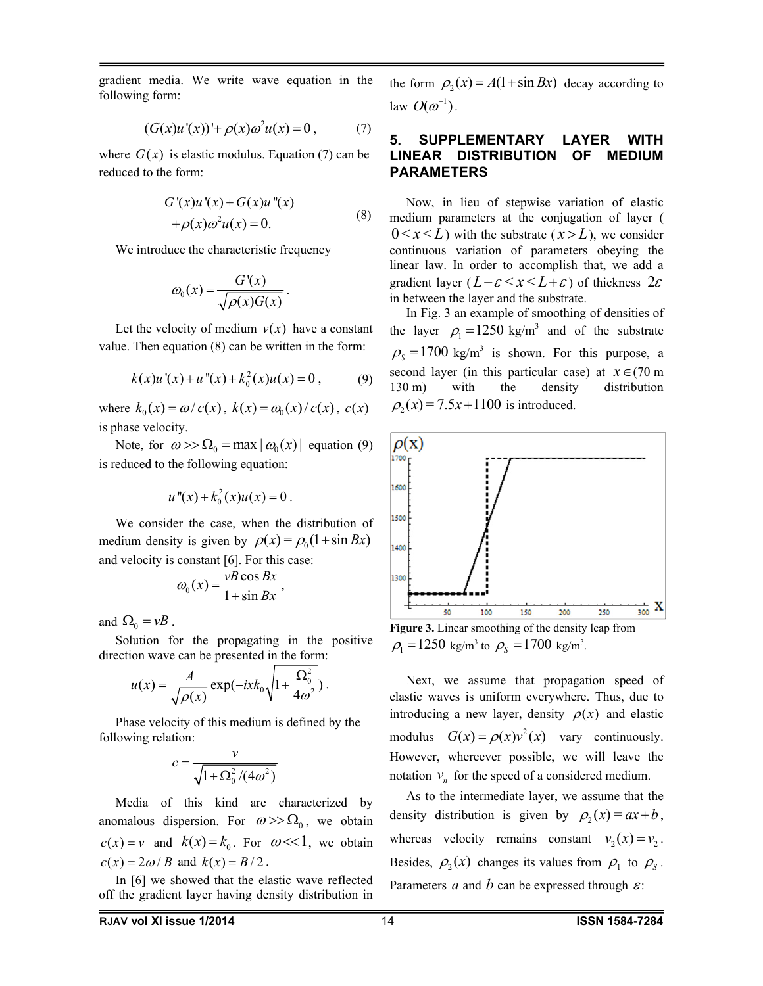gradient media. We write wave equation in the following form:

$$
(G(x)u'(x))' + \rho(x)\omega^2 u(x) = 0, \qquad (7)
$$

where  $G(x)$  is elastic modulus. Equation (7) can be reduced to the form:

$$
G'(x)u'(x) + G(x)u''(x) + \rho(x)\omega^2 u(x) = 0.
$$
 (8)

We introduce the characteristic frequency

$$
\omega_0(x) = \frac{G'(x)}{\sqrt{\rho(x)G(x)}}.
$$

Let the velocity of medium  $v(x)$  have a constant value. Then equation (8) can be written in the form:

$$
k(x)u'(x) + u''(x) + k_0^2(x)u(x) = 0, \qquad (9)
$$

where  $k_0(x) = \omega/c(x)$ ,  $k(x) = \omega_0(x)/c(x)$ ,  $c(x)$ is phase velocity.

Note, for  $\omega >> \Omega_0 = \max |\omega_0(x)|$  equation (9) is reduced to the following equation:

$$
u''(x) + k_0^2(x)u(x) = 0.
$$

We consider the case, when the distribution of medium density is given by  $\rho(x) = \rho_0 (1 + \sin Bx)$ and velocity is constant [6]. For this case:

$$
\omega_0(x) = \frac{vB\cos Bx}{1+\sin Bx},
$$

and  $\Omega_0 = vB$ .

Solution for the propagating in the positive direction wave can be presented in the form:

$$
u(x) = \frac{A}{\sqrt{\rho(x)}} \exp(-ixk_0\sqrt{1 + \frac{\Omega_0^2}{4\omega^2}}).
$$

Phase velocity of this medium is defined by the following relation:

$$
c = \frac{v}{\sqrt{1 + \Omega_0^2/(4\omega^2)}}
$$

Media of this kind are characterized by anomalous dispersion. For  $\omega >> \Omega_0$ , we obtain  $c(x) = v$  and  $k(x) = k_0$ . For  $\omega \ll 1$ , we obtain  $c(x) = 2\omega / B$  and  $k(x) = B/2$ .

In [6] we showed that the elastic wave reflected off the gradient layer having density distribution in the form  $\rho_2(x) = A(1 + \sin Bx)$  decay according to law  $O(\omega^{-1})$ .

### **5. SUPPLEMENTARY LAYER WITH LINEAR DISTRIBUTION OF MEDIUM PARAMETERS**

Now, in lieu of stepwise variation of elastic medium parameters at the conjugation of layer (  $0 \le x \le L$ ) with the substrate  $(x > L)$ , we consider continuous variation of parameters obeying the linear law. In order to accomplish that, we add a gradient layer  $(L-\varepsilon \le x \le L+\varepsilon)$  of thickness  $2\varepsilon$ in between the layer and the substrate.

In Fig. 3 an example of smoothing of densities of the layer  $\rho_1 = 1250 \text{ kg/m}^3$  and of the substrate  $\rho_s = 1700 \text{ kg/m}^3$  is shown. For this purpose, a second layer (in this particular case) at  $x \in (70 \text{ m})$ 130 m) with the density distribution  $\rho_2(x) = 7.5x + 1100$  is introduced.



**Figure 3.** Linear smoothing of the density leap from  $\rho_1 = 1250 \text{ kg/m}^3 \text{ to } \rho_s = 1700 \text{ kg/m}^3$ .

Next, we assume that propagation speed of elastic waves is uniform everywhere. Thus, due to introducing a new layer, density  $\rho(x)$  and elastic modulus  $G(x) = \rho(x) v^2(x)$  vary continuously. However, whereever possible, we will leave the notation  $v_n$  for the speed of a considered medium.

As to the intermediate layer, we assume that the density distribution is given by  $\rho_2(x) = ax + b$ , whereas velocity remains constant  $v_2(x) = v_2$ . Besides,  $\rho_2(x)$  changes its values from  $\rho_1$  to  $\rho_s$ . Parameters *a* and *b* can be expressed through  $\varepsilon$ :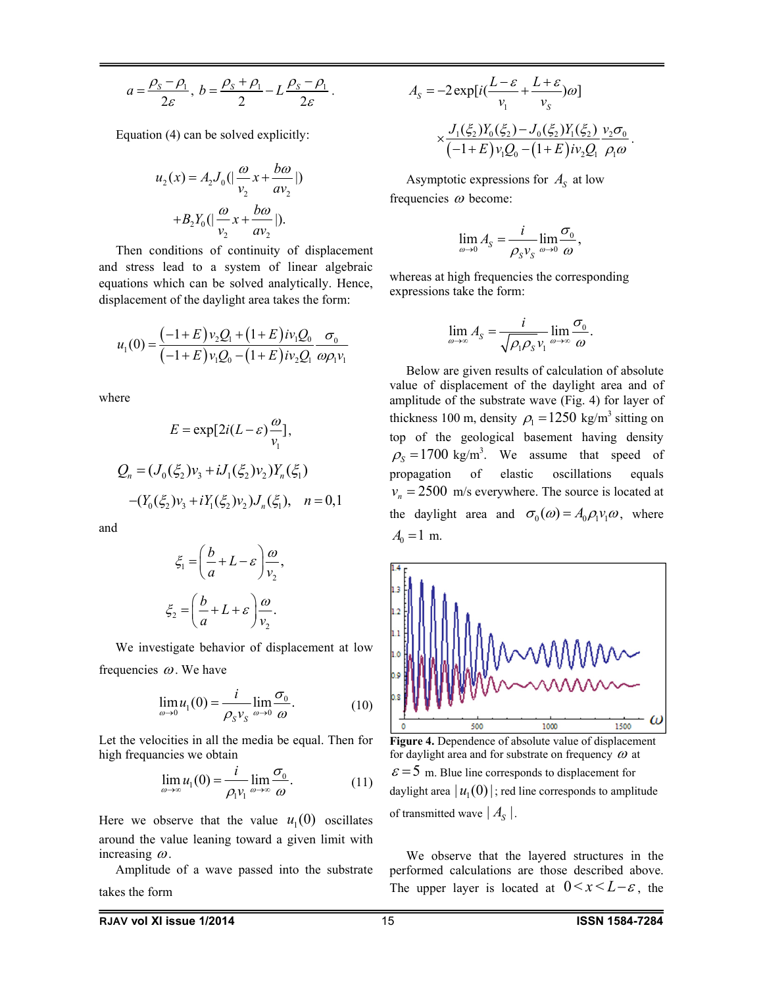$$
a=\frac{\rho_s-\rho_1}{2\varepsilon},\ b=\frac{\rho_s+\rho_1}{2}-L\frac{\rho_s-\rho_1}{2\varepsilon}.
$$

Equation (4) can be solved explicitly:

$$
u_2(x) = A_2 J_0 \left( \left| \frac{\omega}{v_2} x + \frac{b\omega}{a v_2} \right| \right)
$$

$$
+ B_2 Y_0 \left( \left| \frac{\omega}{v_2} x + \frac{b\omega}{a v_2} \right| \right).
$$

Then conditions of continuity of displacement and stress lead to a system of linear algebraic equations which can be solved analytically. Hence, displacement of the daylight area takes the form:

$$
u_1(0) = \frac{(-1+E)v_2Q_1 + (1+E)iv_1Q_0}{(-1+E)v_1Q_0 - (1+E)iv_2Q_1}\frac{\sigma_0}{\omega \rho_1 v_1}
$$

where

$$
E = \exp[2i(L-\varepsilon)\frac{\omega}{v_1}],
$$
  
\n
$$
Q_n = (J_0(\xi_2)v_3 + iJ_1(\xi_2)v_2)Y_n(\xi_1)
$$
  
\n
$$
-(Y_0(\xi_2)v_3 + iY_1(\xi_2)v_2)J_n(\xi_1), \quad n = 0, 1
$$

and

$$
\xi_1 = \left(\frac{b}{a} + L - \varepsilon\right) \frac{\omega}{v_2},
$$

$$
\xi_2 = \left(\frac{b}{a} + L + \varepsilon\right) \frac{\omega}{v_2}.
$$

We investigate behavior of displacement at low frequencies  $\omega$ . We have

$$
\lim_{\omega \to 0} u_1(0) = \frac{i}{\rho_S v_S} \lim_{\omega \to 0} \frac{\sigma_0}{\omega}.
$$
 (10)

Let the velocities in all the media be equal. Then for high frequancies we obtain

$$
\lim_{\omega \to \infty} u_1(0) = \frac{i}{\rho_1 v_1} \lim_{\omega \to \infty} \frac{\sigma_0}{\omega}.
$$
 (11)

Here we observe that the value  $u_1(0)$  oscillates around the value leaning toward a given limit with increasing  $\omega$ .

Amplitude of a wave passed into the substrate takes the form

$$
A_{S} = -2 \exp[i(\frac{L-\varepsilon}{v_{1}} + \frac{L+\varepsilon}{v_{S}})\omega]
$$
  
 
$$
\times \frac{J_{1}(\xi_{2})Y_{0}(\xi_{2}) - J_{0}(\xi_{2})Y_{1}(\xi_{2})}{(-1+E)v_{1}Q_{0} - (1+E)v_{2}Q_{1}} \frac{v_{2}\sigma_{0}}{\rho_{1}\omega}.
$$

Asymptotic expressions for  $A<sub>S</sub>$  at low frequencies  $\omega$  become:

$$
\lim_{\omega \to 0} A_{S} = \frac{i}{\rho_{S} v_{S}} \lim_{\omega \to 0} \frac{\sigma_{0}}{\omega},
$$

whereas at high frequencies the corresponding expressions take the form:

$$
\lim_{\omega \to \infty} A_S = \frac{i}{\sqrt{\rho_1 \rho_S} v_1} \lim_{\omega \to \infty} \frac{\sigma_0}{\omega}.
$$

Below are given results of calculation of absolute value of displacement of the daylight area and of amplitude of the substrate wave (Fig. 4) for layer of thickness 100 m, density  $\rho_1 = 1250 \text{ kg/m}^3$  sitting on top of the geological basement having density  $\rho_s = 1700 \text{ kg/m}^3$ . We assume that speed of propagation of elastic oscillations equals  $v_n = 2500$  m/s everywhere. The source is located at the daylight area and  $\sigma_0(\omega) = A_0 \rho_1 v_1 \omega$ , where  $A_0 = 1$  m.



**Figure 4.** Dependence of absolute value of displacement for daylight area and for substrate on frequency  $\omega$  at  $\epsilon$  = 5 m. Blue line corresponds to displacement for daylight area  $| u_1 (0) |$ ; red line corresponds to amplitude of transmitted wave  $|A_{S}|$ .

We observe that the layered structures in the performed calculations are those described above. The upper layer is located at  $0 \le x \le L-\varepsilon$ , the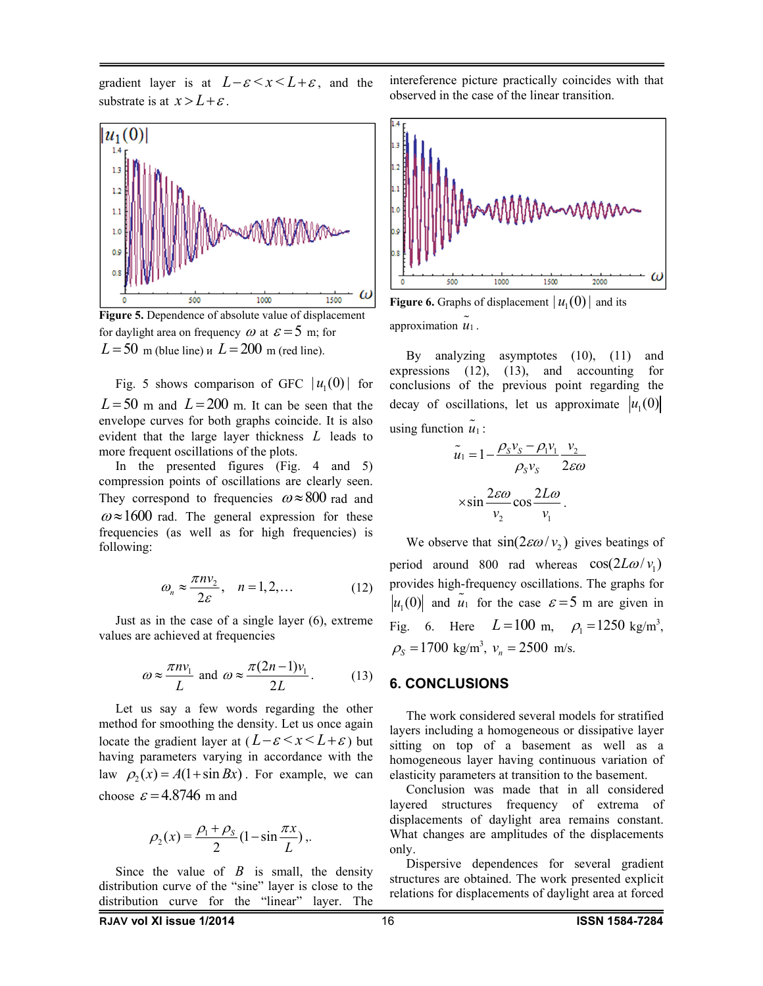gradient layer is at  $L-\varepsilon \leq x \leq L+\varepsilon$ , and the substrate is at  $x > L + \varepsilon$ .



**Figure 5.** Dependence of absolute value of displacement for daylight area on frequency  $\omega$  at  $\varepsilon = 5$  m; for  $L = 50$  m (blue line) *u*  $L = 200$  m (red line).

Fig. 5 shows comparison of GFC  $| u_1(0) |$  for  $L = 50$  m and  $L = 200$  m. It can be seen that the envelope curves for both graphs coincide. It is also evident that the large layer thickness *L* leads to more frequent oscillations of the plots.

In the presented figures (Fig. 4 and 5) compression points of oscillations are clearly seen. They correspond to frequencies  $\omega \approx 800$  rad and  $\omega \approx 1600$  rad. The general expression for these frequencies (as well as for high frequencies) is following:

$$
\omega_n \approx \frac{\pi n v_2}{2\varepsilon}, \quad n = 1, 2, \dots \tag{12}
$$

Just as in the case of a single layer (6), extreme values are achieved at frequencies

$$
\omega \approx \frac{\pi n v_1}{L} \text{ and } \omega \approx \frac{\pi (2n-1) v_1}{2L}.
$$
 (13)

Let us say a few words regarding the other method for smoothing the density. Let us once again locate the gradient layer at  $(L-\varepsilon \leq x \leq L+\varepsilon)$  but having parameters varying in accordance with the law  $\rho_2(x) = A(1 + \sin Bx)$ . For example, we can choose  $\varepsilon$  = 4.8746 m and

$$
\rho_2(x) = \frac{\rho_1 + \rho_S}{2} \left(1 - \sin \frac{\pi x}{L}\right),\,
$$

Since the value of  $B$  is small, the density distribution curve of the "sine" layer is close to the distribution curve for the "linear" layer. The



intereference picture practically coincides with that

observed in the case of the linear transition.

**Figure 6.** Graphs of displacement  $| u_1(0) |$  and its approximation  $\tilde{u}_1$ .

By analyzing asymptotes (10), (11) and expressions (12), (13), and accounting for conclusions of the previous point regarding the decay of oscillations, let us approximate  $|u_1(0)|$ using function  $\tilde{u}_1$ :

$$
\tilde{u}_1 = 1 - \frac{\rho_s v_s - \rho_1 v_1}{\rho_s v_s} \frac{v_2}{2\varepsilon\omega}
$$

$$
\times \sin \frac{2\varepsilon\omega}{v_2} \cos \frac{2L\omega}{v_1}.
$$

We observe that  $\sin(2\epsilon \omega / v_2)$  gives beatings of period around 800 rad whereas  $cos(2L\omega / v_1)$ provides high-frequency oscillations. The graphs for  $u_1(0)$  and  $\tilde{u}_1$  for the case  $\varepsilon = 5$  m are given in Fig. 6. Here  $L = 100 \text{ m}, \rho_1 = 1250 \text{ kg/m}^3$ ,  $\rho_s = 1700 \text{ kg/m}^3$ ,  $v_n = 2500 \text{ m/s}$ .

#### **6. CONCLUSIONS**

The work considered several models for stratified layers including a homogeneous or dissipative layer sitting on top of a basement as well as a homogeneous layer having continuous variation of elasticity parameters at transition to the basement.

Conclusion was made that in all considered layered structures frequency of extrema of displacements of daylight area remains constant. What changes are amplitudes of the displacements only.

Dispersive dependences for several gradient structures are obtained. The work presented explicit relations for displacements of daylight area at forced